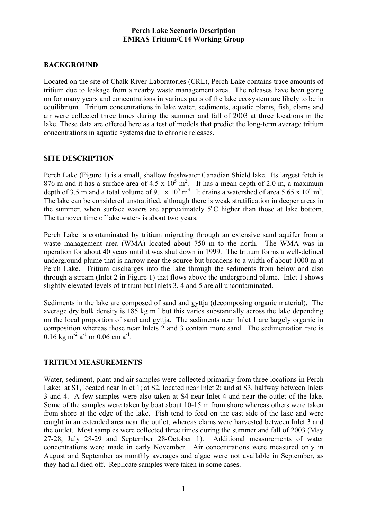#### **Perch Lake Scenario Description EMRAS Tritium/C14 Working Group**

## **BACKGROUND**

Located on the site of Chalk River Laboratories (CRL), Perch Lake contains trace amounts of tritium due to leakage from a nearby waste management area. The releases have been going on for many years and concentrations in various parts of the lake ecosystem are likely to be in equilibrium. Tritium concentrations in lake water, sediments, aquatic plants, fish, clams and air were collected three times during the summer and fall of 2003 at three locations in the lake. These data are offered here as a test of models that predict the long-term average tritium concentrations in aquatic systems due to chronic releases.

#### **SITE DESCRIPTION**

Perch Lake (Figure 1) is a small, shallow freshwater Canadian Shield lake. Its largest fetch is 876 m and it has a surface area of 4.5 x  $10^5$  m<sup>2</sup>. It has a mean depth of 2.0 m, a maximum depth of 3.5 m and a total volume of 9.1 x  $10^5$  m<sup>3</sup>. It drains a watershed of area 5.65 x  $10^6$  m<sup>2</sup>. The lake can be considered unstratified, although there is weak stratification in deeper areas in the summer, when surface waters are approximately  $5^{\circ}$ C higher than those at lake bottom. The turnover time of lake waters is about two years.

Perch Lake is contaminated by tritium migrating through an extensive sand aquifer from a waste management area (WMA) located about 750 m to the north. The WMA was in operation for about 40 years until it was shut down in 1999. The tritium forms a well-defined underground plume that is narrow near the source but broadens to a width of about 1000 m at Perch Lake. Tritium discharges into the lake through the sediments from below and also through a stream (Inlet 2 in Figure 1) that flows above the underground plume. Inlet 1 shows slightly elevated levels of tritium but Inlets 3, 4 and 5 are all uncontaminated.

Sediments in the lake are composed of sand and gyttja (decomposing organic material). The average dry bulk density is  $185 \text{ kg m}^{-3}$  but this varies substantially across the lake depending on the local proportion of sand and gyttja. The sediments near Inlet 1 are largely organic in composition whereas those near Inlets 2 and 3 contain more sand. The sedimentation rate is  $0.16$  kg m<sup>-2</sup> a<sup>-1</sup> or 0.06 cm a<sup>-1</sup>.

# **TRITIUM MEASUREMENTS**

Water, sediment, plant and air samples were collected primarily from three locations in Perch Lake: at S1, located near Inlet 1; at S2, located near Inlet 2; and at S3, halfway between Inlets 3 and 4. A few samples were also taken at S4 near Inlet 4 and near the outlet of the lake. Some of the samples were taken by boat about 10-15 m from shore whereas others were taken from shore at the edge of the lake. Fish tend to feed on the east side of the lake and were caught in an extended area near the outlet, whereas clams were harvested between Inlet 3 and the outlet. Most samples were collected three times during the summer and fall of 2003 (May 27-28, July 28-29 and September 28-October 1). Additional measurements of water concentrations were made in early November. Air concentrations were measured only in August and September as monthly averages and algae were not available in September, as they had all died off. Replicate samples were taken in some cases.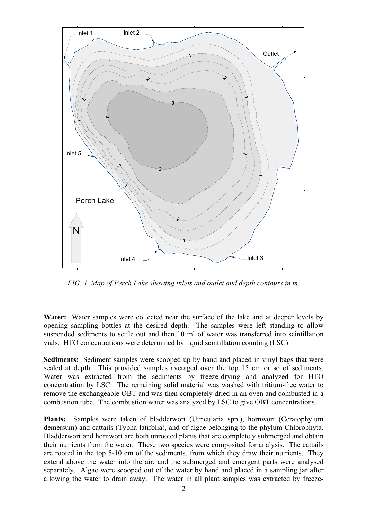

*FIG. 1. Map of Perch Lake showing inlets and outlet and depth contours in m.* 

Water: Water samples were collected near the surface of the lake and at deeper levels by opening sampling bottles at the desired depth. The samples were left standing to allow suspended sediments to settle out and then 10 ml of water was transferred into scintillation vials. HTO concentrations were determined by liquid scintillation counting (LSC).

**Sediments:** Sediment samples were scooped up by hand and placed in vinyl bags that were sealed at depth. This provided samples averaged over the top 15 cm or so of sediments. Water was extracted from the sediments by freeze-drying and analyzed for HTO concentration by LSC. The remaining solid material was washed with tritium-free water to remove the exchangeable OBT and was then completely dried in an oven and combusted in a combustion tube. The combustion water was analyzed by LSC to give OBT concentrations.

**Plants:** Samples were taken of bladderwort (Utricularia spp.), hornwort (Ceratophylum demersum) and cattails (Typha latifolia), and of algae belonging to the phylum Chlorophyta. Bladderwort and hornwort are both unrooted plants that are completely submerged and obtain their nutrients from the water. These two species were composited for analysis. The cattails are rooted in the top 5-10 cm of the sediments, from which they draw their nutrients. They extend above the water into the air, and the submerged and emergent parts were analysed separately. Algae were scooped out of the water by hand and placed in a sampling jar after allowing the water to drain away. The water in all plant samples was extracted by freeze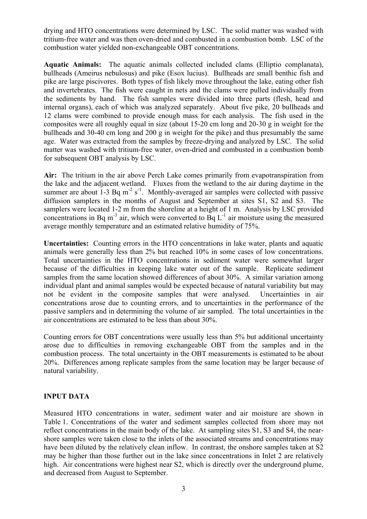drying and HTO concentrations were determined by LSC. The solid matter was washed with tritium-free water and was then oven-dried and combusted in a combustion bomb. LSC of the combustion water yielded non-exchangeable OBT concentrations.

**Aquatic Animals:** The aquatic animals collected included clams (Elliptio complanata), bullheads (Ameirus nebulosus) and pike (Esox lucius). Bullheads are small benthic fish and pike are large piscivores. Both types of fish likely move throughout the lake, eating other fish and invertebrates. The fish were caught in nets and the clams were pulled individually from the sediments by hand. The fish samples were divided into three parts (flesh, head and internal organs), each of which was analyzed separately. About five pike, 20 bullheads and 12 clams were combined to provide enough mass for each analysis. The fish used in the composites were all roughly equal in size (about 15-20 cm long and 20-30 g in weight for the bullheads and 30-40 cm long and 200 g in weight for the pike) and thus presumably the same age. Water was extracted from the samples by freeze-drying and analyzed by LSC. The solid matter was washed with tritium-free water, oven-dried and combusted in a combustion bomb for subsequent OBT analysis by LSC.

**Air:** The tritium in the air above Perch Lake comes primarily from evapotranspiration from the lake and the adjacent wetland. Fluxes from the wetland to the air during daytime in the summer are about  $1-3$  Bq m<sup>-2</sup> s<sup>-1</sup>. Monthly-averaged air samples were collected with passive diffusion samplers in the months of August and September at sites S1, S2 and S3. The samplers were located 1-2 m from the shoreline at a height of 1 m. Analysis by LSC provided concentrations in Bq m<sup>-3</sup> air, which were converted to Bq  $L^{-1}$  air moisture using the measured average monthly temperature and an estimated relative humidity of 75%.

**Uncertainties:** Counting errors in the HTO concentrations in lake water, plants and aquatic animals were generally less than 2% but reached 10% in some cases of low concentrations. Total uncertainties in the HTO concentrations in sediment water were somewhat larger because of the difficulties in keeping lake water out of the sample. Replicate sediment samples from the same location showed differences of about 30%. A similar variation among individual plant and animal samples would be expected because of natural variability but may not be evident in the composite samples that were analysed. Uncertainties in air concentrations arose due to counting errors, and to uncertainties in the performance of the passive samplers and in determining the volume of air sampled. The total uncertainties in the air concentrations are estimated to be less than about 30%.

Counting errors for OBT concentrations were usually less than 5% but additional uncertainty arose due to difficulties in removing exchangeable OBT from the samples and in the combustion process. The total uncertainty in the OBT measurements is estimated to be about 20%. Differences among replicate samples from the same location may be larger because of natural variability.

# **INPUT DATA**

Measured HTO concentrations in water, sediment water and air moisture are shown in Table 1. Concentrations of the water and sediment samples collected from shore may not reflect concentrations in the main body of the lake. At sampling sites S1, S3 and S4, the nearshore samples were taken close to the inlets of the associated streams and concentrations may have been diluted by the relatively clean inflow. In contrast, the onshore samples taken at S2 may be higher than those further out in the lake since concentrations in Inlet 2 are relatively high. Air concentrations were highest near S2, which is directly over the underground plume, and decreased from August to September.